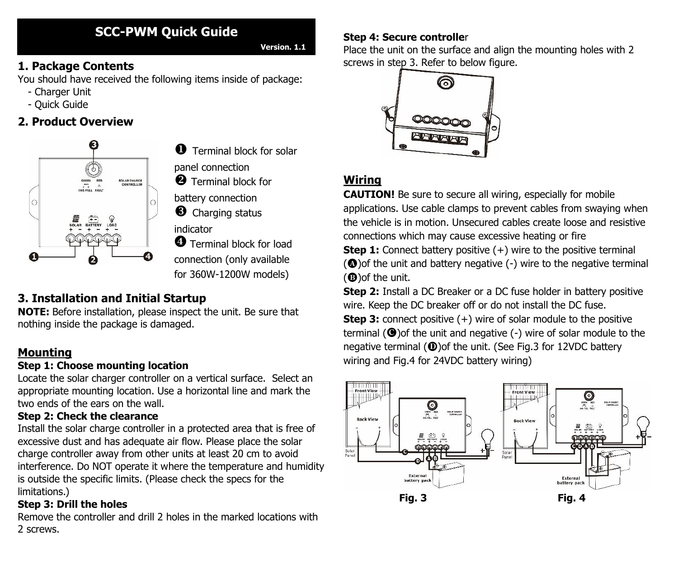# **SCC-PWM Quick Guide**

**Version. 1.1**

## **1. Package Contents**

You should have received the following items inside of package:

- Charger Unit
- Quick Guide

## **2. Product Overview**



**O** Terminal block for solar panel connection

**2** Terminal block for

battery connection

**6** Charging status

indicator

**O** Terminal block for load connection (only available for 360W-1200W models)

## **3. Installation and Initial Startup**

**NOTE:** Before installation, please inspect the unit. Be sure that nothing inside the package is damaged.

## **Mounting**

#### **Step 1: Choose mounting location**

Locate the solar charger controller on a vertical surface. Select an appropriate mounting location. Use a horizontal line and mark the two ends of the ears on the wall.

#### **Step 2: Check the clearance**

Install the solar charge controller in a protected area that is free of excessive dust and has adequate air flow. Please place the solar charge controller away from other units at least 20 cm to avoid interference. Do NOT operate it where the temperature and humidity is outside the specific limits. (Please check the specs for the limitations.)

#### **Step 3: Drill the holes**

Remove the controller and drill 2 holes in the marked locations with 2 screws.

#### **Step 4: Secure controlle**r

Place the unit on the surface and align the mounting holes with 2 screws in step 3. Refer to below figure.



## **Wiring**

**CAUTION!** Be sure to secure all wiring, especially for mobile applications. Use cable clamps to prevent cables from swaying when the vehicle is in motion. Unsecured cables create loose and resistive connections which may cause excessive heating or fire **Step 1:** Connect battery positive (+) wire to the positive terminal  $\circledcirc$  of the unit and battery negative (-) wire to the negative terminal

 $(①)$ of the unit.

**Step 2:** Install a DC Breaker or a DC fuse holder in battery positive wire. Keep the DC breaker off or do not install the DC fuse. **Step 3:** connect positive (+) wire of solar module to the positive terminal ( $\bigcirc$ ) of the unit and negative (-) wire of solar module to the negative terminal  $(\mathbf{0})$ of the unit. (See Fig.3 for 12VDC battery wiring and Fig.4 for 24VDC battery wiring)